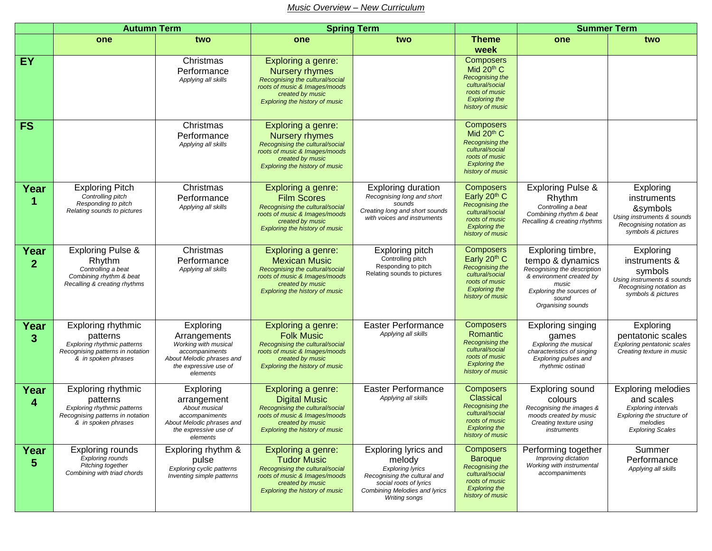## *Music Overview – New Curriculum*

|                        | <b>Autumn Term</b>                                                                                                              |                                                                                                                                       | <b>Spring Term</b>                                                                                                                                                           |                                                                                                                                                                              |                                                                                                                                                   | <b>Summer Term</b>                                                                                                                                                  |                                                                                                                                            |
|------------------------|---------------------------------------------------------------------------------------------------------------------------------|---------------------------------------------------------------------------------------------------------------------------------------|------------------------------------------------------------------------------------------------------------------------------------------------------------------------------|------------------------------------------------------------------------------------------------------------------------------------------------------------------------------|---------------------------------------------------------------------------------------------------------------------------------------------------|---------------------------------------------------------------------------------------------------------------------------------------------------------------------|--------------------------------------------------------------------------------------------------------------------------------------------|
|                        | one                                                                                                                             | two                                                                                                                                   | one                                                                                                                                                                          | two                                                                                                                                                                          | <b>Theme</b>                                                                                                                                      | one                                                                                                                                                                 | two                                                                                                                                        |
| EY                     |                                                                                                                                 | Christmas<br>Performance<br>Applying all skills                                                                                       | Exploring a genre:<br><b>Nursery rhymes</b><br>Recognising the cultural/social<br>roots of music & Images/moods<br>created by music<br><b>Exploring the history of music</b> |                                                                                                                                                                              | week<br><b>Composers</b><br>Mid 20th C<br><b>Recognising the</b><br>cultural/social<br>roots of music<br><b>Exploring the</b><br>history of music |                                                                                                                                                                     |                                                                                                                                            |
| <b>FS</b>              |                                                                                                                                 | Christmas<br>Performance<br>Applying all skills                                                                                       | Exploring a genre:<br><b>Nursery rhymes</b><br>Recognising the cultural/social<br>roots of music & Images/moods<br>created by music<br><b>Exploring the history of music</b> |                                                                                                                                                                              | Composers<br>Mid $20th$ C<br><b>Recognising the</b><br>cultural/social<br>roots of music<br><b>Exploring the</b><br>history of music              |                                                                                                                                                                     |                                                                                                                                            |
| Year<br>1              | <b>Exploring Pitch</b><br>Controlling pitch<br>Responding to pitch<br>Relating sounds to pictures                               | Christmas<br>Performance<br>Applying all skills                                                                                       | Exploring a genre:<br><b>Film Scores</b><br>Recognising the cultural/social<br>roots of music & Images/moods<br>created by music<br><b>Exploring the history of music</b>    | <b>Exploring duration</b><br>Recognising long and short<br>sounds<br>Creating long and short sounds<br>with voices and instruments                                           | Composers<br>Early 20th C<br><b>Recognising the</b><br>cultural/social<br>roots of music<br><b>Exploring the</b><br>history of music              | <b>Exploring Pulse &amp;</b><br>Rhythm<br>Controlling a beat<br>Combining rhythm & beat<br>Recalling & creating rhythms                                             | Exploring<br>instruments<br>&symbols<br>Using instruments & sounds<br>Recognising notation as<br>symbols & pictures                        |
| Year<br>$\overline{2}$ | <b>Exploring Pulse &amp;</b><br>Rhythm<br>Controlling a beat<br>Combining rhythm & beat<br>Recalling & creating rhythms         | Christmas<br>Performance<br>Applying all skills                                                                                       | Exploring a genre:<br><b>Mexican Music</b><br>Recognising the cultural/social<br>roots of music & Images/moods<br>created by music<br><b>Exploring the history of music</b>  | Exploring pitch<br>Controlling pitch<br>Responding to pitch<br>Relating sounds to pictures                                                                                   | Composers<br>Early 20th C<br><b>Recognising the</b><br>cultural/social<br>roots of music<br><b>Exploring the</b><br>history of music              | Exploring timbre,<br>tempo & dynamics<br>Recognising the description<br>& environment created by<br>music<br>Exploring the sources of<br>sound<br>Organising sounds | Exploring<br>instruments &<br>symbols<br>Using instruments & sounds<br>Recognising notation as<br>symbols & pictures                       |
| Year<br>3              | Exploring rhythmic<br>patterns<br>Exploring rhythmic patterns<br>Recognising patterns in notation<br>& in spoken phrases        | Exploring<br>Arrangements<br>Working with musical<br>accompaniments<br>About Melodic phrases and<br>the expressive use of<br>elements | Exploring a genre:<br><b>Folk Music</b><br>Recognising the cultural/social<br>roots of music & Images/moods<br>created by music<br><b>Exploring the history of music</b>     | <b>Easter Performance</b><br>Applying all skills                                                                                                                             | Composers<br>Romantic<br><b>Recognising the</b><br>cultural/social<br>roots of music<br><b>Exploring the</b><br>history of music                  | Exploring singing<br>games<br>Exploring the musical<br>characteristics of singing<br>Exploring pulses and<br>rhythmic ostinati                                      | Exploring<br>pentatonic scales<br>Exploring pentatonic scales<br>Creating texture in music                                                 |
| Year<br>4              | Exploring rhythmic<br>patterns<br><b>Exploring rhythmic patterns</b><br>Recognising patterns in notation<br>& in spoken phrases | Exploring<br>arrangement<br>About musical<br>accompaniments<br>About Melodic phrases and<br>the expressive use of<br>elements         | Exploring a genre:<br><b>Digital Music</b><br>Recognising the cultural/social<br>roots of music & Images/moods<br>created by music<br><b>Exploring the history of music</b>  | <b>Easter Performance</b><br>Applying all skills                                                                                                                             | <b>Composers</b><br>Classical<br><b>Recognising the</b><br>cultural/social<br>roots of music<br><b>Exploring the</b><br>history of music          | <b>Exploring sound</b><br>colours<br>Recognising the images &<br>moods created by music<br>Creating texture using<br>instruments                                    | <b>Exploring melodies</b><br>and scales<br><b>Exploring intervals</b><br>Exploring the structure of<br>melodies<br><b>Exploring Scales</b> |
| Year<br>5              | <b>Exploring rounds</b><br>Exploring rounds<br>Pitching together<br>Combining with triad chords                                 | Exploring rhythm &<br>pulse<br>Exploring cyclic patterns<br>Inventing simple patterns                                                 | Exploring a genre:<br><b>Tudor Music</b><br>Recognising the cultural/social<br>roots of music & Images/moods<br>created by music<br>Exploring the history of music           | Exploring lyrics and<br>melody<br><b>Exploring lyrics</b><br>Recognising the cultural and<br>social roots of lyrics<br>Combining Melodies and lyrics<br><b>Writing songs</b> | <b>Composers</b><br><b>Baroque</b><br>Recognising the<br>cultural/social<br>roots of music<br><b>Exploring the</b><br>history of music            | Performing together<br>Improving dictation<br>Working with instrumental<br>accompaniments                                                                           | Summer<br>Performance<br>Applying all skills                                                                                               |